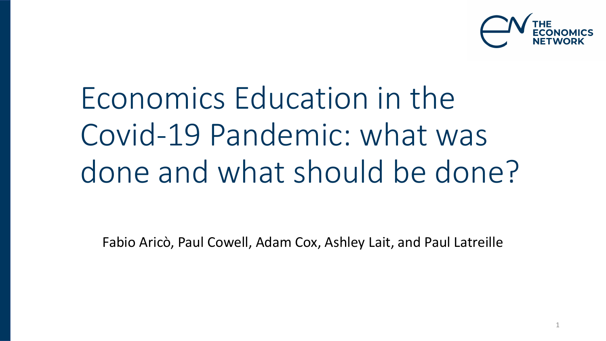

Economics Education in the Covid-19 Pandemic: what was done and what should be done?

Fabio Aricò, Paul Cowell, Adam Cox, Ashley Lait, and Paul Latreille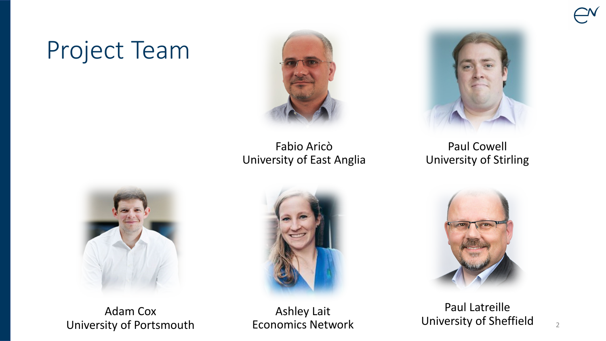# Project Team



Fabio Aricò University of East Anglia



Paul Cowell University of Stirling



Adam Cox University of Portsmouth



Ashley Lait Economics Network



Paul Latreille University of Sheffield  $\frac{2}{2}$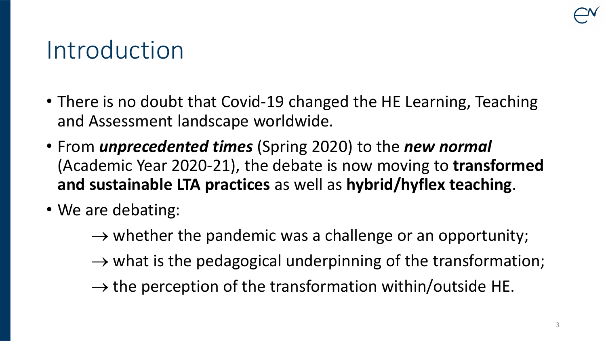#### Introduction

- There is no doubt that Covid-19 changed the HE Learning, Teaching and Assessment landscape worldwide.
- From *unprecedented times* (Spring 2020) to the *new normal*  (Academic Year 2020-21), the debate is now moving to **transformed and sustainable LTA practices** as well as **hybrid/hyflex teaching**.
- We are debating:
	- $\rightarrow$  whether the pandemic was a challenge or an opportunity;
	- $\rightarrow$  what is the pedagogical underpinning of the transformation;
	- $\rightarrow$  the perception of the transformation within/outside HE.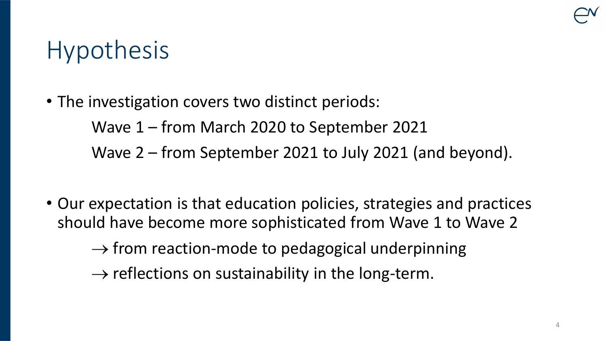# Hypothesis

- The investigation covers two distinct periods: Wave 1 – from March 2020 to September 2021 Wave 2 – from September 2021 to July 2021 (and beyond).
- Our expectation is that education policies, strategies and practices should have become more sophisticated from Wave 1 to Wave 2

 $\rightarrow$  from reaction-mode to pedagogical underpinning

 $\rightarrow$  reflections on sustainability in the long-term.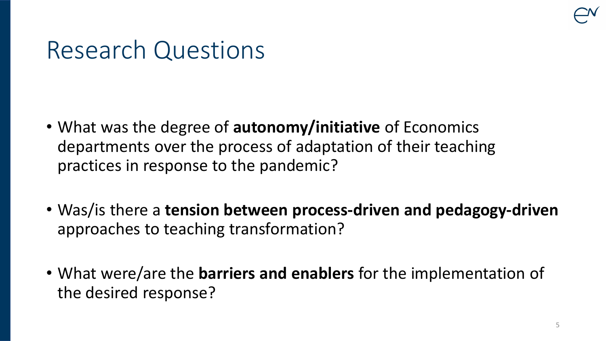### Research Questions

- What was the degree of **autonomy/initiative** of Economics departments over the process of adaptation of their teaching practices in response to the pandemic?
- Was/is there a **tension between process-driven and pedagogy-driven**  approaches to teaching transformation?
- What were/are the **barriers and enablers** for the implementation of the desired response?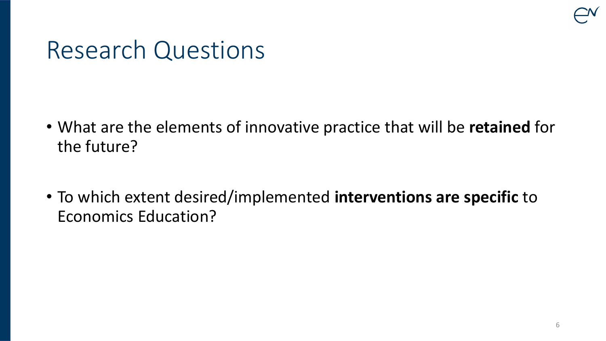

#### Research Questions

- What are the elements of innovative practice that will be **retained** for the future?
- To which extent desired/implemented **interventions are specific** to Economics Education?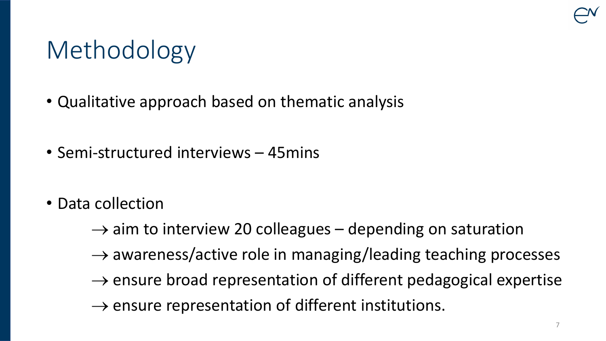# Methodology

- Qualitative approach based on thematic analysis
- Semi-structured interviews 45mins
- Data collection
	- $\rightarrow$  aim to interview 20 colleagues depending on saturation
	- $\rightarrow$  awareness/active role in managing/leading teaching processes
	- $\rightarrow$  ensure broad representation of different pedagogical expertise
	- $\rightarrow$  ensure representation of different institutions.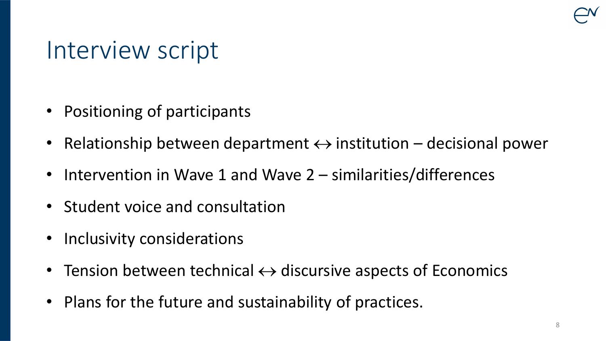#### Interview script

- Positioning of participants
- Relationship between department  $\leftrightarrow$  institution decisional power
- Intervention in Wave 1 and Wave 2 similarities/differences
- Student voice and consultation
- Inclusivity considerations
- Tension between technical  $\leftrightarrow$  discursive aspects of Economics
- Plans for the future and sustainability of practices.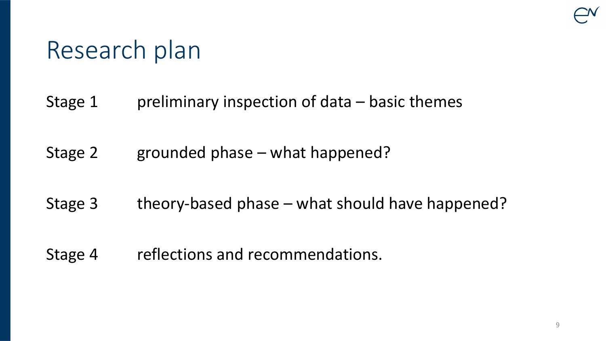## Research plan

- Stage 1 preliminary inspection of data basic themes
- Stage 2 grounded phase what happened?
- Stage 3 theory-based phase what should have happened?
- Stage 4 reflections and recommendations.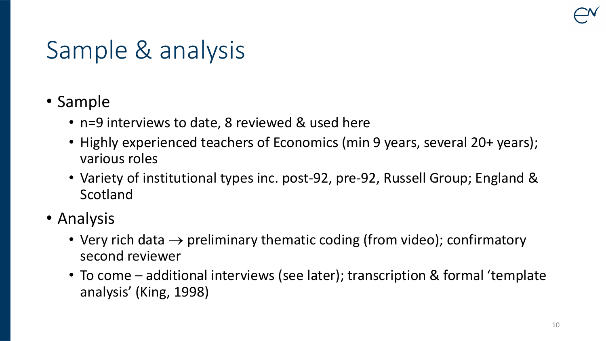# Sample & analysis

- Sample
	- n=9 interviews to date, 8 reviewed & used here
	- Highly experienced teachers of Economics (min 9 years, several 20+ years); various roles
	- Variety of institutional types inc. post-92, pre-92, Russell Group; England & Scotland
- Analysis
	- Very rich data  $\rightarrow$  preliminary thematic coding (from video); confirmatory second reviewer
	- To come additional interviews (see later); transcription & formal 'template analysis' (King, 1998)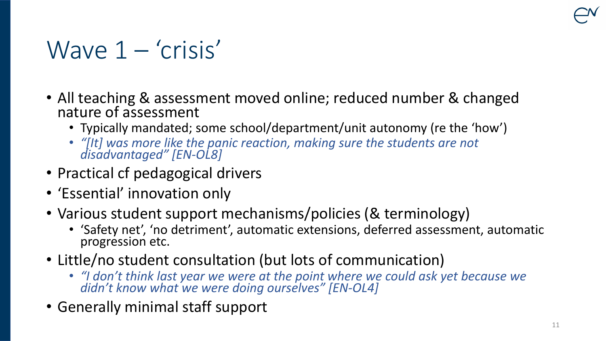# Wave  $1 - 'crisis'$

- All teaching & assessment moved online; reduced number & changed nature of assessment
	- Typically mandated; some school/department/unit autonomy (re the 'how')
	- *"[It] was more like the panic reaction, making sure the students are not disadvantaged" [EN-OL8]*
- Practical cf pedagogical drivers
- 'Essential' innovation only
- Various student support mechanisms/policies (& terminology)
	- 'Safety net', 'no detriment', automatic extensions, deferred assessment, automatic progression etc.
- Little/no student consultation (but lots of communication)
	- *"I don't think last year we were at the point where we could ask yet because we didn't know what we were doing ourselves" [EN-OL4]*
- Generally minimal staff support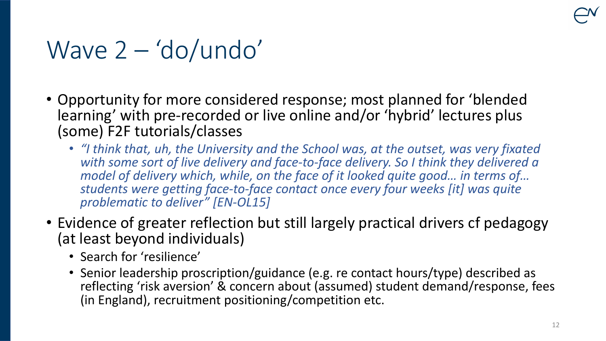### Wave 2 – 'do/undo'

- Opportunity for more considered response; most planned for 'blended learning' with pre-recorded or live online and/or 'hybrid' lectures plus (some) F2F tutorials/classes
	- *"I think that, uh, the University and the School was, at the outset, was very fixated with some sort of live delivery and face-to-face delivery. So I think they delivered a model of delivery which, while, on the face of it looked quite good… in terms of… students were getting face-to-face contact once every four weeks [it] was quite problematic to deliver" [EN-OL15]*
- Evidence of greater reflection but still largely practical drivers cf pedagogy (at least beyond individuals)
	- Search for 'resilience'
	- Senior leadership proscription/guidance (e.g. re contact hours/type) described as reflecting 'risk aversion' & concern about (assumed) student demand/response, fees (in England), recruitment positioning/competition etc.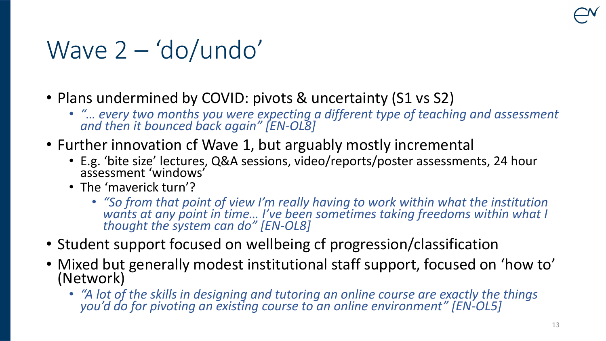# Wave 2 – 'do/undo'

- Plans undermined by COVID: pivots & uncertainty (S1 vs S2)
	- *"… every two months you were expecting a different type of teaching and assessment and then it bounced back again" [EN-OL8]*
- Further innovation cf Wave 1, but arguably mostly incremental
	- E.g. 'bite size' lectures, Q&A sessions, video/reports/poster assessments, 24 hour assessment 'windows'
	- The 'maverick turn'?
		- *"So from that point of view I'm really having to work within what the institution*  wants at any point in time... I've been sometimes taking freedoms within what I *thought the system can do" [EN-OL8]*
- Student support focused on wellbeing cf progression/classification
- Mixed but generally modest institutional staff support, focused on 'how to' (Network)
	- *"A lot of the skills in designing and tutoring an online course are exactly the things you'd do for pivoting an existing course to an online environment" [EN-OL5]*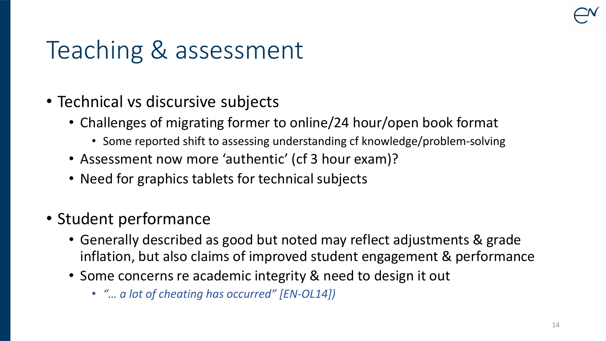# Teaching & assessment

- Technical vs discursive subjects
	- Challenges of migrating former to online/24 hour/open book format
		- Some reported shift to assessing understanding cf knowledge/problem-solving
	- Assessment now more 'authentic' (cf 3 hour exam)?
	- Need for graphics tablets for technical subjects
- Student performance
	- Generally described as good but noted may reflect adjustments & grade inflation, but also claims of improved student engagement & performance
	- Some concerns re academic integrity & need to design it out
		- *"… a lot of cheating has occurred" [EN-OL14])*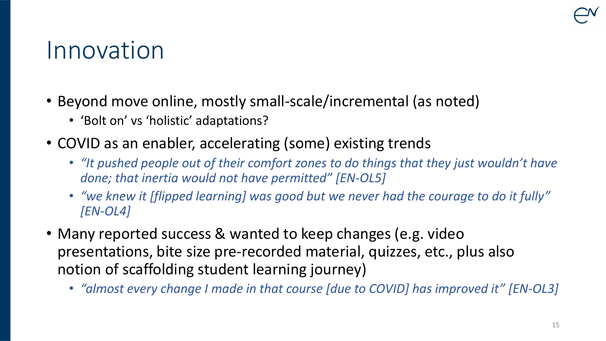#### Innovation

- Beyond move online, mostly small-scale/incremental (as noted)
	- 'Bolt on' vs 'holistic' adaptations?
- COVID as an enabler, accelerating (some) existing trends
	- *"It pushed people out of their comfort zones to do things that they just wouldn't have done; that inertia would not have permitted" [EN-OL5]*
	- *"we knew it [flipped learning] was good but we never had the courage to do it fully" [EN-OL4]*
- Many reported success & wanted to keep changes (e.g. video presentations, bite size pre-recorded material, quizzes, etc., plus also notion of scaffolding student learning journey)
	- *"almost every change I made in that course [due to COVID] has improved it" [EN-OL3]*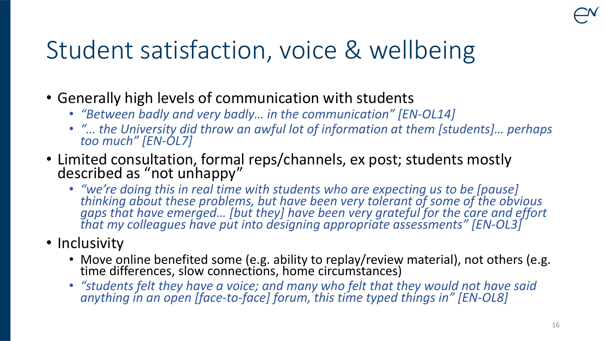# Student satisfaction, voice & wellbeing

- Generally high levels of communication with students
	- *"Between badly and very badly… in the communication" [EN-OL14]*
	- *"… the University did throw an awful lot of information at them [students]… perhaps too much" [EN-OL7]*
- Limited consultation, formal reps/channels, ex post; students mostly described as "not unhappy"
	- *"we're doing this in real time with students who are expecting us to be [pause] thinking about these problems, but have been very tolerant of some of the obvious gaps that have emerged… [but they] have been very grateful for the care and effort that my colleagues have put into designing appropriate assessments" [EN-OL3]*
- Inclusivity
	- Move online benefited some (e.g. ability to replay/review material), not others (e.g. time differences, slow connections, home circumstances)
	- *"students felt they have a voice; and many who felt that they would not have said anything in an open [face-to-face] forum, this time typed things in" [EN-OL8]*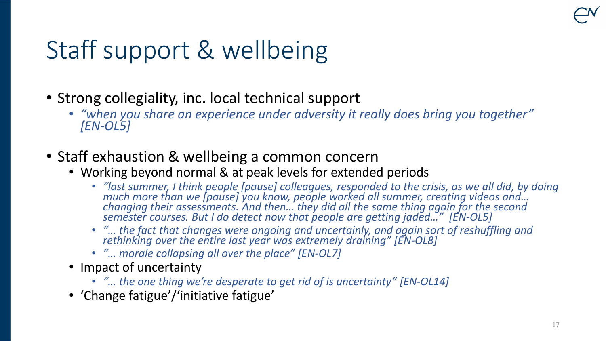# Staff support & wellbeing

- Strong collegiality, inc. local technical support
	- *"when you share an experience under adversity it really does bring you together" [EN-OL5]*
- Staff exhaustion & wellbeing a common concern
	- Working beyond normal & at peak levels for extended periods
		- *"last summer, I think people [pause] colleagues, responded to the crisis, as we all did, by doing much more than we [pause] you know, people worked all summer, creating videos and… changing their assessments. And then… they did all the same thing again for the second semester courses. But I do detect now that people are getting jaded…" [EN-OL5]*
		- *"… the fact that changes were ongoing and uncertainly, and again sort of reshuffling and rethinking over the entire last year was extremely draining" [EN-OL8]*
		- *"… morale collapsing all over the place" [EN-OL7]*
	- Impact of uncertainty
		- *"… the one thing we're desperate to get rid of is uncertainty" [EN-OL14]*
	- 'Change fatigue'/'initiative fatigue'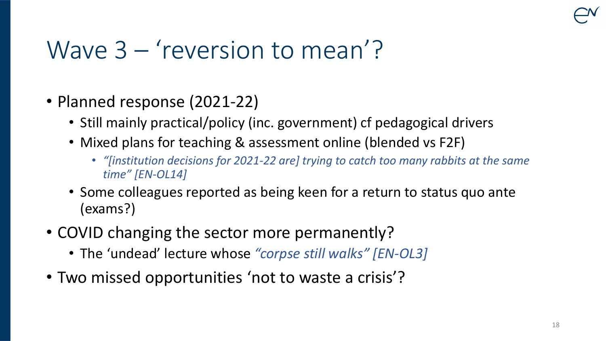#### Wave 3 – 'reversion to mean'?

- Planned response (2021-22)
	- Still mainly practical/policy (inc. government) cf pedagogical drivers
	- Mixed plans for teaching & assessment online (blended vs F2F)
		- *"[institution decisions for 2021-22 are] trying to catch too many rabbits at the same time" [EN-OL14]*
	- Some colleagues reported as being keen for a return to status quo ante (exams?)
- COVID changing the sector more permanently?
	- The 'undead' lecture whose *"corpse still walks" [EN-OL3]*
- Two missed opportunities 'not to waste a crisis'?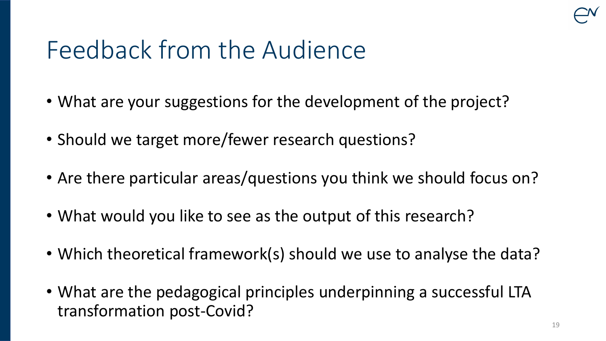# Feedback from the Audience

- What are your suggestions for the development of the project?
- Should we target more/fewer research questions?
- Are there particular areas/questions you think we should focus on?
- What would you like to see as the output of this research?
- Which theoretical framework(s) should we use to analyse the data?
- What are the pedagogical principles underpinning a successful LTA transformation post-Covid?